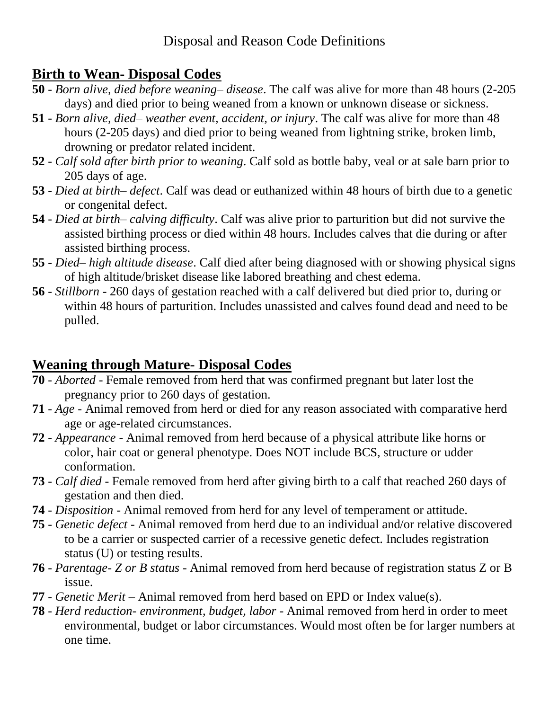## **Birth to Wean- Disposal Codes**

- **50** *Born alive, died before weaning– disease*. The calf was alive for more than 48 hours (2-205 days) and died prior to being weaned from a known or unknown disease or sickness.
- **51** *Born alive, died– weather event, accident, or injury*. The calf was alive for more than 48 hours (2-205 days) and died prior to being weaned from lightning strike, broken limb, drowning or predator related incident.
- **52** *Calf sold after birth prior to weaning*. Calf sold as bottle baby, veal or at sale barn prior to 205 days of age.
- **53** *Died at birth– defect*. Calf was dead or euthanized within 48 hours of birth due to a genetic or congenital defect.
- **54** *Died at birth– calving difficulty*. Calf was alive prior to parturition but did not survive the assisted birthing process or died within 48 hours. Includes calves that die during or after assisted birthing process.
- **55** *Died– high altitude disease*. Calf died after being diagnosed with or showing physical signs of high altitude/brisket disease like labored breathing and chest edema.
- **56** *Stillborn* 260 days of gestation reached with a calf delivered but died prior to, during or within 48 hours of parturition. Includes unassisted and calves found dead and need to be pulled.

## **Weaning through Mature- Disposal Codes**

- **70** *Aborted* Female removed from herd that was confirmed pregnant but later lost the pregnancy prior to 260 days of gestation.
- **71** *Age* Animal removed from herd or died for any reason associated with comparative herd age or age-related circumstances.
- **72** *Appearance* Animal removed from herd because of a physical attribute like horns or color, hair coat or general phenotype. Does NOT include BCS, structure or udder conformation.
- **73** *Calf died* Female removed from herd after giving birth to a calf that reached 260 days of gestation and then died.
- **74** *Disposition* Animal removed from herd for any level of temperament or attitude.
- **75** *Genetic defect* Animal removed from herd due to an individual and/or relative discovered to be a carrier or suspected carrier of a recessive genetic defect. Includes registration status (U) or testing results.
- **76** *Parentage- Z or B status* Animal removed from herd because of registration status Z or B issue.
- **77** *Genetic Merit* Animal removed from herd based on EPD or Index value(s).
- **78** *Herd reduction- environment, budget, labor* Animal removed from herd in order to meet environmental, budget or labor circumstances. Would most often be for larger numbers at one time.